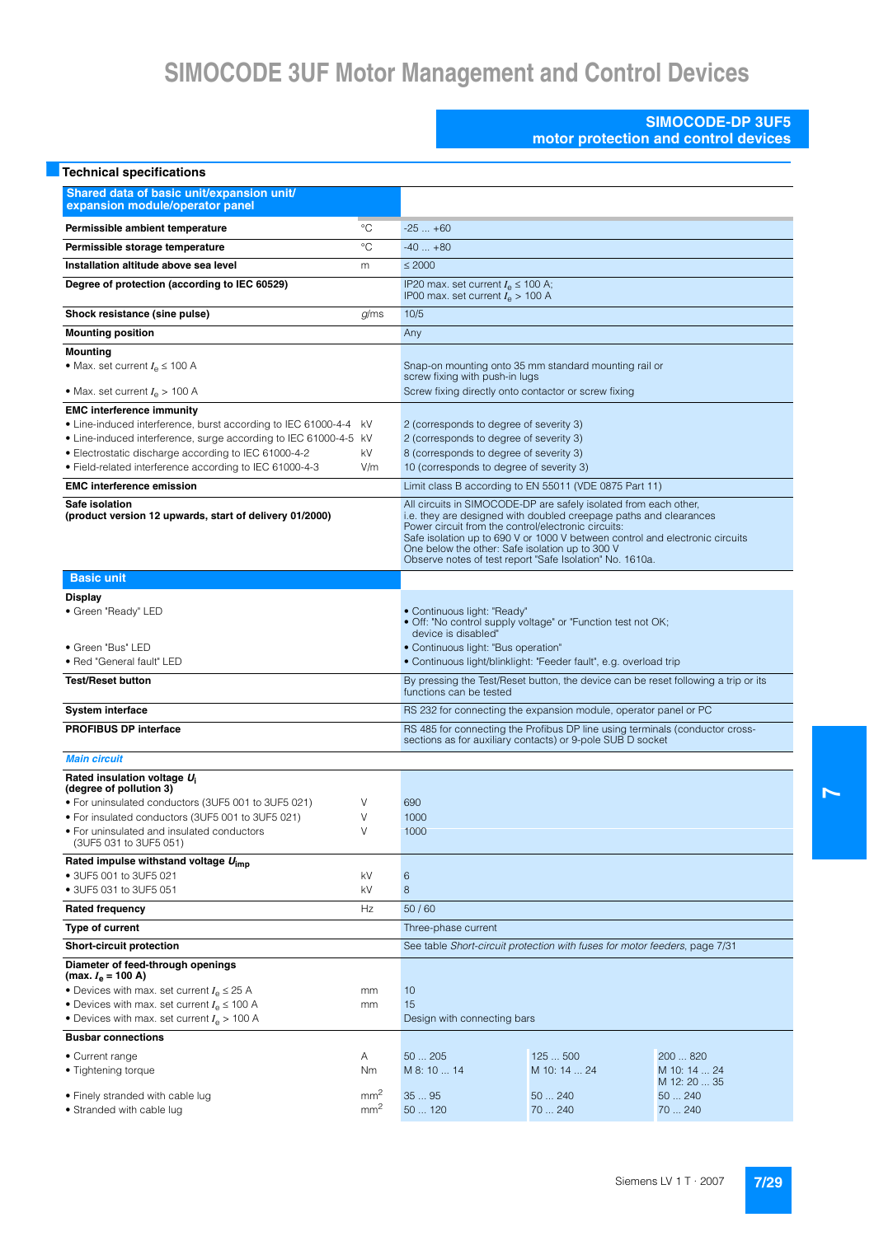#### **SIMOCODE-DP 3UF5 motor protection and control devices**

| <b>Technical specifications</b>                                                                                                                                                                                                                                                                                              |                                    |                                                                                                                                                                                                                                                                                                                                                                                             |                                                              |                                          |  |  |
|------------------------------------------------------------------------------------------------------------------------------------------------------------------------------------------------------------------------------------------------------------------------------------------------------------------------------|------------------------------------|---------------------------------------------------------------------------------------------------------------------------------------------------------------------------------------------------------------------------------------------------------------------------------------------------------------------------------------------------------------------------------------------|--------------------------------------------------------------|------------------------------------------|--|--|
| Shared data of basic unit/expansion unit/<br>expansion module/operator panel                                                                                                                                                                                                                                                 |                                    |                                                                                                                                                                                                                                                                                                                                                                                             |                                                              |                                          |  |  |
| Permissible ambient temperature                                                                                                                                                                                                                                                                                              | $^{\circ}C$                        | $-25+60$                                                                                                                                                                                                                                                                                                                                                                                    |                                                              |                                          |  |  |
| Permissible storage temperature                                                                                                                                                                                                                                                                                              | $^{\circ}C$                        | $-40+80$                                                                                                                                                                                                                                                                                                                                                                                    |                                                              |                                          |  |  |
| Installation altitude above sea level                                                                                                                                                                                                                                                                                        | m                                  | $\leq 2000$                                                                                                                                                                                                                                                                                                                                                                                 |                                                              |                                          |  |  |
| Degree of protection (according to IEC 60529)                                                                                                                                                                                                                                                                                |                                    | IP20 max. set current $I_e \le 100$ A;<br>IP00 max. set current $I_e > 100$ A                                                                                                                                                                                                                                                                                                               |                                                              |                                          |  |  |
| Shock resistance (sine pulse)                                                                                                                                                                                                                                                                                                | g/ms                               | 10/5                                                                                                                                                                                                                                                                                                                                                                                        |                                                              |                                          |  |  |
| <b>Mounting position</b>                                                                                                                                                                                                                                                                                                     |                                    | Any                                                                                                                                                                                                                                                                                                                                                                                         |                                                              |                                          |  |  |
| <b>Mounting</b><br>• Max. set current $I_e \leq 100$ A                                                                                                                                                                                                                                                                       |                                    | Snap-on mounting onto 35 mm standard mounting rail or<br>screw fixing with push-in lugs                                                                                                                                                                                                                                                                                                     |                                                              |                                          |  |  |
| • Max. set current $I_{\rm e}$ > 100 A                                                                                                                                                                                                                                                                                       |                                    | Screw fixing directly onto contactor or screw fixing                                                                                                                                                                                                                                                                                                                                        |                                                              |                                          |  |  |
| <b>EMC interference immunity</b><br>• Line-induced interference, burst according to IEC 61000-4-4<br>• Line-induced interference, surge according to IEC 61000-4-5 kV<br>· Electrostatic discharge according to IEC 61000-4-2<br>· Field-related interference according to IEC 61000-4-3<br><b>EMC</b> interference emission | kV<br>kV<br>V/m                    | 2 (corresponds to degree of severity 3)<br>2 (corresponds to degree of severity 3)<br>8 (corresponds to degree of severity 3)<br>10 (corresponds to degree of severity 3)                                                                                                                                                                                                                   | Limit class B according to EN 55011 (VDE 0875 Part 11)       |                                          |  |  |
| Safe isolation                                                                                                                                                                                                                                                                                                               |                                    |                                                                                                                                                                                                                                                                                                                                                                                             |                                                              |                                          |  |  |
| (product version 12 upwards, start of delivery 01/2000)                                                                                                                                                                                                                                                                      |                                    | All circuits in SIMOCODE-DP are safely isolated from each other,<br>i.e. they are designed with doubled creepage paths and clearances<br>Power circuit from the control/electronic circuits:<br>Safe isolation up to 690 V or 1000 V between control and electronic circuits<br>One below the other: Safe isolation up to 300 V<br>Observe notes of test report "Safe Isolation" No. 1610a. |                                                              |                                          |  |  |
| <b>Basic unit</b>                                                                                                                                                                                                                                                                                                            |                                    |                                                                                                                                                                                                                                                                                                                                                                                             |                                                              |                                          |  |  |
| <b>Display</b><br>· Green "Ready" LED                                                                                                                                                                                                                                                                                        |                                    | • Continuous light: "Ready"                                                                                                                                                                                                                                                                                                                                                                 | . Off: "No control supply voltage" or "Function test not OK; |                                          |  |  |
| • Green "Bus" LED<br>• Red "General fault" LED                                                                                                                                                                                                                                                                               |                                    | device is disabled"<br>• Continuous light: "Bus operation"<br>• Continuous light/blinklight: "Feeder fault", e.g. overload trip                                                                                                                                                                                                                                                             |                                                              |                                          |  |  |
| <b>Test/Reset button</b>                                                                                                                                                                                                                                                                                                     |                                    | By pressing the Test/Reset button, the device can be reset following a trip or its<br>functions can be tested                                                                                                                                                                                                                                                                               |                                                              |                                          |  |  |
| <b>System interface</b>                                                                                                                                                                                                                                                                                                      |                                    | RS 232 for connecting the expansion module, operator panel or PC                                                                                                                                                                                                                                                                                                                            |                                                              |                                          |  |  |
| <b>PROFIBUS DP interface</b>                                                                                                                                                                                                                                                                                                 |                                    | RS 485 for connecting the Profibus DP line using terminals (conductor cross-<br>sections as for auxiliary contacts) or 9-pole SUB D socket                                                                                                                                                                                                                                                  |                                                              |                                          |  |  |
| <b>Main circuit</b>                                                                                                                                                                                                                                                                                                          |                                    |                                                                                                                                                                                                                                                                                                                                                                                             |                                                              |                                          |  |  |
| Rated insulation voltage U <sub>i</sub><br>(degree of pollution 3)<br>• For uninsulated conductors (3UF5 001 to 3UF5 021)<br>. For insulated conductors (3UF5 001 to 3UF5 021)<br>• For uninsulated and insulated conductors                                                                                                 | V<br>$\vee$<br>V                   | 690<br>1000<br>1000                                                                                                                                                                                                                                                                                                                                                                         |                                                              |                                          |  |  |
| (3UF5 031 to 3UF5 051)<br>Rated impulse withstand voltage $U_{\text{imp}}$<br>• 3UF5 001 to 3UF5 021                                                                                                                                                                                                                         | kV                                 | 6                                                                                                                                                                                                                                                                                                                                                                                           |                                                              |                                          |  |  |
| • 3UF5 031 to 3UF5 051                                                                                                                                                                                                                                                                                                       | kV                                 | 8                                                                                                                                                                                                                                                                                                                                                                                           |                                                              |                                          |  |  |
| <b>Rated frequency</b>                                                                                                                                                                                                                                                                                                       | Hz                                 | 50/60                                                                                                                                                                                                                                                                                                                                                                                       |                                                              |                                          |  |  |
| Type of current                                                                                                                                                                                                                                                                                                              |                                    | Three-phase current<br>See table Short-circuit protection with fuses for motor feeders, page 7/31                                                                                                                                                                                                                                                                                           |                                                              |                                          |  |  |
| <b>Short-circuit protection</b>                                                                                                                                                                                                                                                                                              |                                    |                                                                                                                                                                                                                                                                                                                                                                                             |                                                              |                                          |  |  |
| Diameter of feed-through openings<br>(max. <i>I</i> <sub>e</sub> = 100 A)<br>• Devices with max. set current $I_e \leq 25$ A<br>• Devices with max. set current $I_e \leq 100$ A<br>• Devices with max. set current $I_{\rm e}$ > 100 A                                                                                      | mm<br>mm                           | 10<br>15<br>Design with connecting bars                                                                                                                                                                                                                                                                                                                                                     |                                                              |                                          |  |  |
| <b>Busbar connections</b>                                                                                                                                                                                                                                                                                                    |                                    |                                                                                                                                                                                                                                                                                                                                                                                             |                                                              |                                          |  |  |
| • Current range<br>• Tightening torque                                                                                                                                                                                                                                                                                       | Α<br>Nm                            | 50205<br>M 8: 10  14                                                                                                                                                                                                                                                                                                                                                                        | 125500<br>M 10: 14  24                                       | 200  820<br>M 10: 14  24<br>M 12: 20  35 |  |  |
| • Finely stranded with cable lug<br>• Stranded with cable lug                                                                                                                                                                                                                                                                | mm <sup>2</sup><br>mm <sup>2</sup> | 3595<br>50  120                                                                                                                                                                                                                                                                                                                                                                             | 50  240<br>70  240                                           | 50240<br>70  240                         |  |  |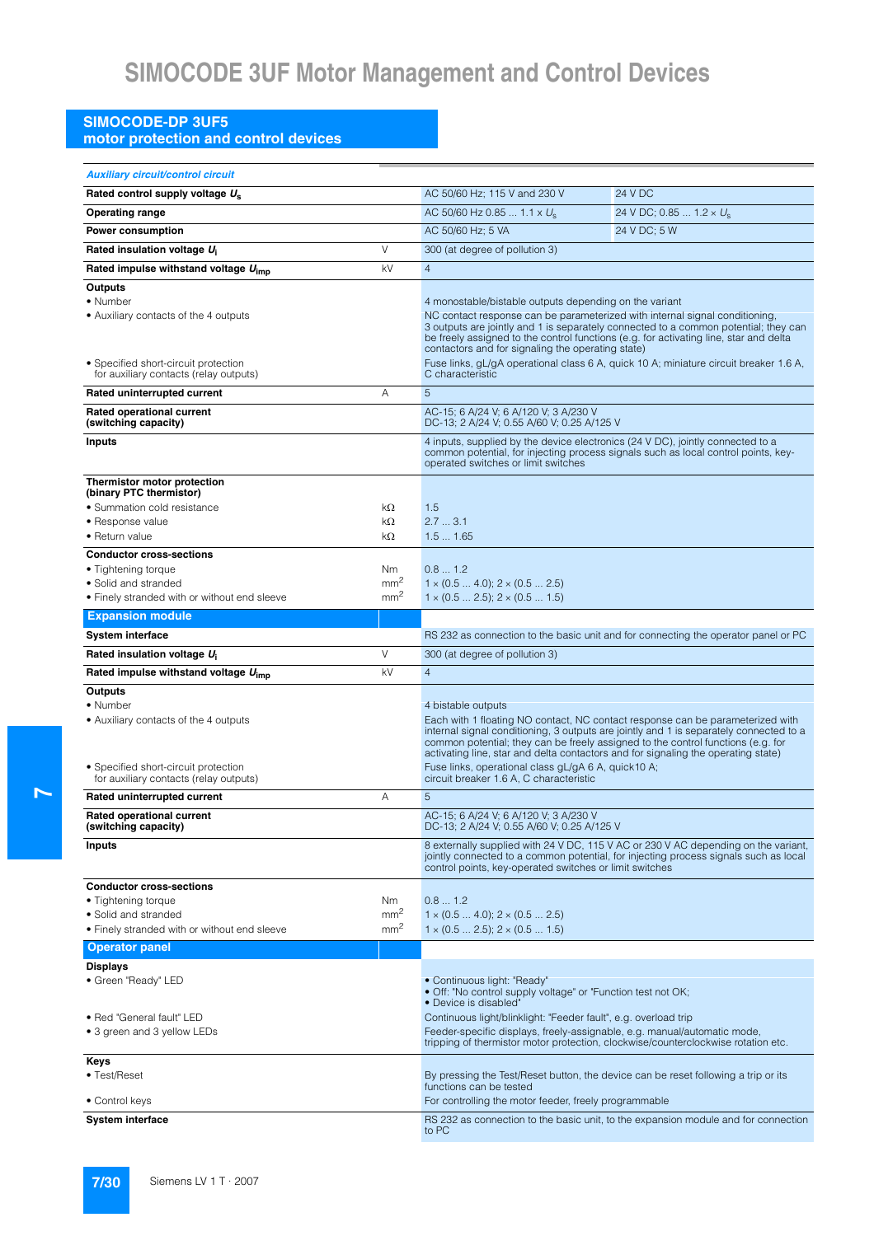### **SIMOCODE-DP 3UF5**

**motor protection and control devices**

| <b>Auxiliary circuit/control circuit</b>                                       |                                    |                                                                                                                                                                       |                                                                                        |  |  |  |  |
|--------------------------------------------------------------------------------|------------------------------------|-----------------------------------------------------------------------------------------------------------------------------------------------------------------------|----------------------------------------------------------------------------------------|--|--|--|--|
| Rated control supply voltage U <sub>s</sub>                                    |                                    | AC 50/60 Hz; 115 V and 230 V                                                                                                                                          | 24 V DC                                                                                |  |  |  |  |
| <b>Operating range</b>                                                         |                                    | AC 50/60 Hz 0.85  1.1 x $U_s$                                                                                                                                         | 24 V DC; 0.85 $1.2 \times U_s$                                                         |  |  |  |  |
| <b>Power consumption</b>                                                       |                                    | AC 50/60 Hz; 5 VA<br>24 V DC; 5 W                                                                                                                                     |                                                                                        |  |  |  |  |
| Rated insulation voltage U <sub>i</sub>                                        | $\vee$                             | 300 (at degree of pollution 3)                                                                                                                                        |                                                                                        |  |  |  |  |
| Rated impulse withstand voltage $U_{\text{imp}}$                               | kV                                 | $\overline{4}$                                                                                                                                                        |                                                                                        |  |  |  |  |
| Outputs                                                                        |                                    |                                                                                                                                                                       |                                                                                        |  |  |  |  |
| • Number                                                                       |                                    | 4 monostable/bistable outputs depending on the variant                                                                                                                |                                                                                        |  |  |  |  |
| • Auxiliary contacts of the 4 outputs                                          |                                    | NC contact response can be parameterized with internal signal conditioning,                                                                                           | 3 outputs are jointly and 1 is separately connected to a common potential; they can    |  |  |  |  |
|                                                                                |                                    | be freely assigned to the control functions (e.g. for activating line, star and delta                                                                                 |                                                                                        |  |  |  |  |
|                                                                                |                                    | contactors and for signaling the operating state)                                                                                                                     |                                                                                        |  |  |  |  |
| • Specified short-circuit protection<br>for auxiliary contacts (relay outputs) |                                    | Fuse links, gL/gA operational class 6 A, quick 10 A; miniature circuit breaker 1.6 A,<br>C characteristic                                                             |                                                                                        |  |  |  |  |
| Rated uninterrupted current                                                    | Α                                  | 5                                                                                                                                                                     |                                                                                        |  |  |  |  |
| Rated operational current<br>(switching capacity)                              |                                    | AC-15; 6 A/24 V; 6 A/120 V; 3 A/230 V<br>DC-13; 2 A/24 V; 0.55 A/60 V; 0.25 A/125 V                                                                                   |                                                                                        |  |  |  |  |
| <b>Inputs</b>                                                                  |                                    | 4 inputs, supplied by the device electronics (24 V DC), jointly connected to a                                                                                        |                                                                                        |  |  |  |  |
|                                                                                |                                    | operated switches or limit switches                                                                                                                                   | common potential, for injecting process signals such as local control points, key-     |  |  |  |  |
| Thermistor motor protection                                                    |                                    |                                                                                                                                                                       |                                                                                        |  |  |  |  |
| (binary PTC thermistor)<br>• Summation cold resistance                         | kΩ                                 | 1.5                                                                                                                                                                   |                                                                                        |  |  |  |  |
| • Response value                                                               | kΩ                                 | 2.73.1                                                                                                                                                                |                                                                                        |  |  |  |  |
| • Return value                                                                 | kΩ                                 | 1.51.65                                                                                                                                                               |                                                                                        |  |  |  |  |
| <b>Conductor cross-sections</b>                                                |                                    |                                                                                                                                                                       |                                                                                        |  |  |  |  |
| • Tightening torque                                                            | Nm                                 | 0.81.2                                                                                                                                                                |                                                                                        |  |  |  |  |
| • Solid and stranded                                                           | mm <sup>2</sup><br>mm <sup>2</sup> | $1 \times (0.5  4.0); 2 \times (0.5  2.5)$                                                                                                                            |                                                                                        |  |  |  |  |
| • Finely stranded with or without end sleeve                                   |                                    | $1 \times (0.5 \dots 2.5); 2 \times (0.5 \dots 1.5)$                                                                                                                  |                                                                                        |  |  |  |  |
| <b>Expansion module</b>                                                        |                                    |                                                                                                                                                                       |                                                                                        |  |  |  |  |
| <b>System interface</b>                                                        |                                    |                                                                                                                                                                       | RS 232 as connection to the basic unit and for connecting the operator panel or PC     |  |  |  |  |
| Rated insulation voltage U <sub>i</sub>                                        | $\vee$                             | 300 (at degree of pollution 3)                                                                                                                                        |                                                                                        |  |  |  |  |
| Rated impulse withstand voltage $U_{\text{imp}}$                               | kV                                 | $\overline{4}$                                                                                                                                                        |                                                                                        |  |  |  |  |
| Outputs<br>• Number                                                            |                                    | 4 bistable outputs                                                                                                                                                    |                                                                                        |  |  |  |  |
| • Auxiliary contacts of the 4 outputs                                          |                                    | Each with 1 floating NO contact, NC contact response can be parameterized with                                                                                        |                                                                                        |  |  |  |  |
|                                                                                |                                    |                                                                                                                                                                       | internal signal conditioning, 3 outputs are jointly and 1 is separately connected to a |  |  |  |  |
|                                                                                |                                    | common potential; they can be freely assigned to the control functions (e.g. for<br>activating line, star and delta contactors and for signaling the operating state) |                                                                                        |  |  |  |  |
| • Specified short-circuit protection                                           |                                    | Fuse links, operational class gL/gA 6 A, quick 10 A;                                                                                                                  |                                                                                        |  |  |  |  |
| for auxiliary contacts (relay outputs)                                         |                                    | circuit breaker 1.6 A, C characteristic                                                                                                                               |                                                                                        |  |  |  |  |
| Rated uninterrupted current                                                    | A                                  | 5                                                                                                                                                                     |                                                                                        |  |  |  |  |
| <b>Rated operational current</b><br>(switching capacity)                       |                                    | AC-15: 6 A/24 V: 6 A/120 V: 3 A/230 V<br>DC-13; 2 A/24 V; 0.55 A/60 V; 0.25 A/125 V                                                                                   |                                                                                        |  |  |  |  |
| <b>Inputs</b>                                                                  |                                    |                                                                                                                                                                       | 8 externally supplied with 24 V DC, 115 V AC or 230 V AC depending on the variant,     |  |  |  |  |
|                                                                                |                                    | control points, key-operated switches or limit switches                                                                                                               | jointly connected to a common potential, for injecting process signals such as local   |  |  |  |  |
| <b>Conductor cross-sections</b>                                                |                                    |                                                                                                                                                                       |                                                                                        |  |  |  |  |
| • Tightening torque                                                            | Nm                                 | 0.81.2                                                                                                                                                                |                                                                                        |  |  |  |  |
| • Solid and stranded<br>• Finely stranded with or without end sleeve           | mm <sup>2</sup><br>mm <sup>2</sup> | $1 \times (0.5  4.0); 2 \times (0.5  2.5)$<br>$1 \times (0.5 \dots 2.5)$ ; $2 \times (0.5 \dots 1.5)$                                                                 |                                                                                        |  |  |  |  |
| <b>Operator panel</b>                                                          |                                    |                                                                                                                                                                       |                                                                                        |  |  |  |  |
| <b>Displays</b>                                                                |                                    |                                                                                                                                                                       |                                                                                        |  |  |  |  |
| · Green "Ready" LED                                                            |                                    | • Continuous light: "Ready"                                                                                                                                           |                                                                                        |  |  |  |  |
|                                                                                |                                    | . Off: "No control supply voltage" or "Function test not OK;<br>• Device is disabled"                                                                                 |                                                                                        |  |  |  |  |
| · Red "General fault" LED                                                      |                                    | Continuous light/blinklight: "Feeder fault", e.g. overload trip                                                                                                       |                                                                                        |  |  |  |  |
| • 3 green and 3 yellow LEDs                                                    |                                    | Feeder-specific displays, freely-assignable, e.g. manual/automatic mode,                                                                                              |                                                                                        |  |  |  |  |
|                                                                                |                                    | tripping of thermistor motor protection, clockwise/counterclockwise rotation etc.                                                                                     |                                                                                        |  |  |  |  |
| Keys                                                                           |                                    |                                                                                                                                                                       |                                                                                        |  |  |  |  |
| • Test/Reset                                                                   |                                    | By pressing the Test/Reset button, the device can be reset following a trip or its<br>functions can be tested                                                         |                                                                                        |  |  |  |  |
| • Control keys                                                                 |                                    | For controlling the motor feeder, freely programmable                                                                                                                 |                                                                                        |  |  |  |  |
| <b>System interface</b>                                                        |                                    | to PC                                                                                                                                                                 | RS 232 as connection to the basic unit, to the expansion module and for connection     |  |  |  |  |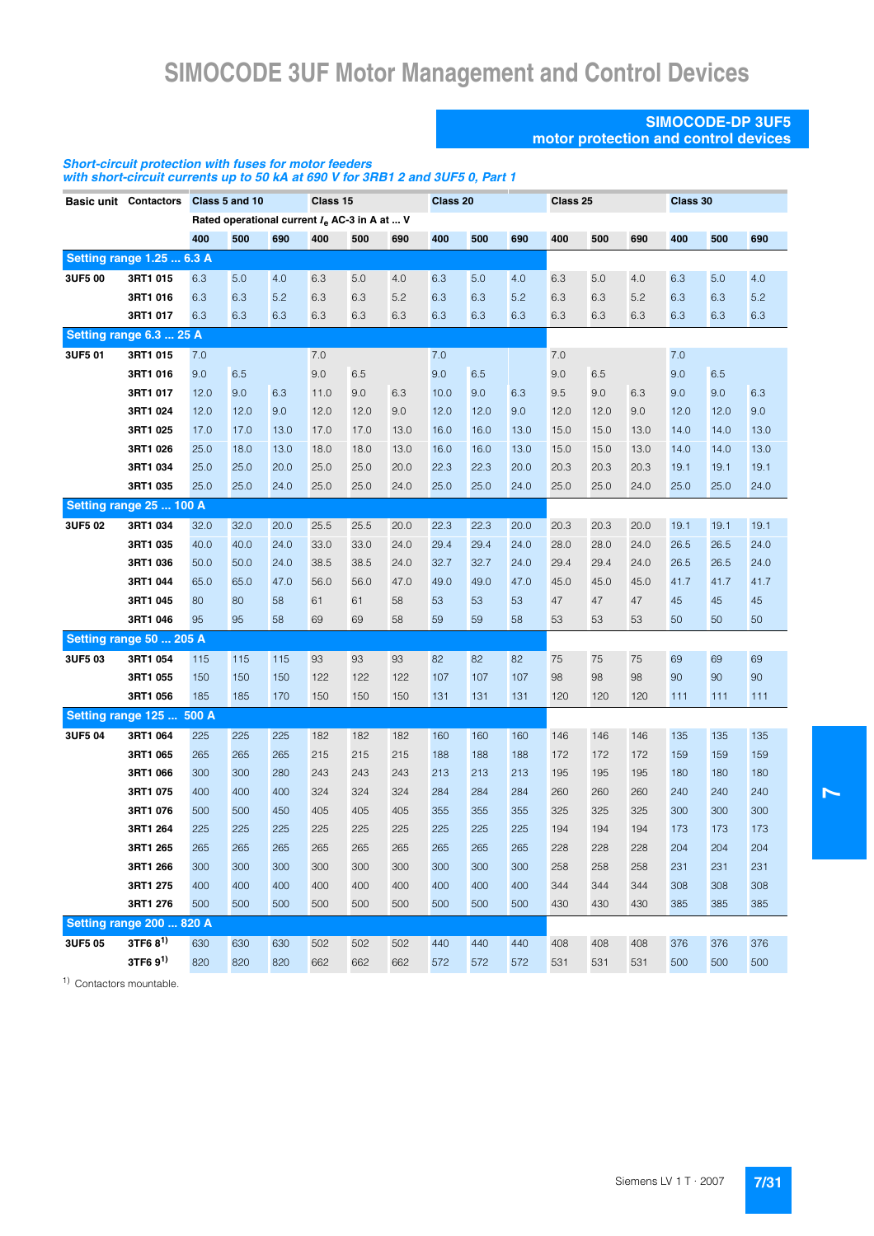#### **SIMOCODE-DP 3UF5 motor protection and control devices**

#### *Short-circuit protection with fuses for motor feeders with short-circuit currents up to 50 kA at 690 V for 3RB1 2 and 3UF5 0, Part 1*

|         | Basic unit Contactors Class 5 and 10 |      |      |      | Class 15                                        |      |      | Class 20 |      |      | Class 25 |      |      | Class 30 |      |      |
|---------|--------------------------------------|------|------|------|-------------------------------------------------|------|------|----------|------|------|----------|------|------|----------|------|------|
|         |                                      |      |      |      | Rated operational current $I_e$ AC-3 in A at  V |      |      |          |      |      |          |      |      |          |      |      |
|         |                                      | 400  | 500  | 690  | 400                                             | 500  | 690  | 400      | 500  | 690  | 400      | 500  | 690  | 400      | 500  | 690  |
|         | <b>Setting range 1.25  6.3 A</b>     |      |      |      |                                                 |      |      |          |      |      |          |      |      |          |      |      |
| 3UF5 00 | 3RT1 015                             | 6.3  | 5.0  | 4.0  | 6.3                                             | 5.0  | 4.0  | 6.3      | 5.0  | 4.0  | 6.3      | 5.0  | 4.0  | 6.3      | 5.0  | 4.0  |
|         | 3RT1 016                             | 6.3  | 6.3  | 5.2  | 6.3                                             | 6.3  | 5.2  | 6.3      | 6.3  | 5.2  | 6.3      | 6.3  | 5.2  | 6.3      | 6.3  | 5.2  |
|         | 3RT1 017                             | 6.3  | 6.3  | 6.3  | 6.3                                             | 6.3  | 6.3  | 6.3      | 6.3  | 6.3  | 6.3      | 6.3  | 6.3  | 6.3      | 6.3  | 6.3  |
|         | Setting range 6.3  25 A              |      |      |      |                                                 |      |      |          |      |      |          |      |      |          |      |      |
| 3UF5 01 | 3RT1 015                             | 7.0  |      |      | 7.0                                             |      |      | 7.0      |      |      | 7.0      |      |      | 7.0      |      |      |
|         | 3RT1 016                             | 9.0  | 6.5  |      | 9.0                                             | 6.5  |      | 9.0      | 6.5  |      | 9.0      | 6.5  |      | 9.0      | 6.5  |      |
|         | 3RT1 017                             | 12.0 | 9.0  | 6.3  | 11.0                                            | 9.0  | 6.3  | 10.0     | 9.0  | 6.3  | 9.5      | 9.0  | 6.3  | 9.0      | 9.0  | 6.3  |
|         | 3RT1 024                             | 12.0 | 12.0 | 9.0  | 12.0                                            | 12.0 | 9.0  | 12.0     | 12.0 | 9.0  | 12.0     | 12.0 | 9.0  | 12.0     | 12.0 | 9.0  |
|         | 3RT1 025                             | 17.0 | 17.0 | 13.0 | 17.0                                            | 17.0 | 13.0 | 16.0     | 16.0 | 13.0 | 15.0     | 15.0 | 13.0 | 14.0     | 14.0 | 13.0 |
|         | 3RT1 026                             | 25.0 | 18.0 | 13.0 | 18.0                                            | 18.0 | 13.0 | 16.0     | 16.0 | 13.0 | 15.0     | 15.0 | 13.0 | 14.0     | 14.0 | 13.0 |
|         | 3RT1 034                             | 25.0 | 25.0 | 20.0 | 25.0                                            | 25.0 | 20.0 | 22.3     | 22.3 | 20.0 | 20.3     | 20.3 | 20.3 | 19.1     | 19.1 | 19.1 |
|         | 3RT1 035                             | 25.0 | 25.0 | 24.0 | 25.0                                            | 25.0 | 24.0 | 25.0     | 25.0 | 24.0 | 25.0     | 25.0 | 24.0 | 25.0     | 25.0 | 24.0 |
|         | Setting range 25  100 A              |      |      |      |                                                 |      |      |          |      |      |          |      |      |          |      |      |
| 3UF5 02 | 3RT1 034                             | 32.0 | 32.0 | 20.0 | 25.5                                            | 25.5 | 20.0 | 22.3     | 22.3 | 20.0 | 20.3     | 20.3 | 20.0 | 19.1     | 19.1 | 19.1 |
|         | 3RT1 035                             | 40.0 | 40.0 | 24.0 | 33.0                                            | 33.0 | 24.0 | 29.4     | 29.4 | 24.0 | 28.0     | 28.0 | 24.0 | 26.5     | 26.5 | 24.0 |
|         | 3RT1 036                             | 50.0 | 50.0 | 24.0 | 38.5                                            | 38.5 | 24.0 | 32.7     | 32.7 | 24.0 | 29.4     | 29.4 | 24.0 | 26.5     | 26.5 | 24.0 |
|         | 3RT1 044                             | 65.0 | 65.0 | 47.0 | 56.0                                            | 56.0 | 47.0 | 49.0     | 49.0 | 47.0 | 45.0     | 45.0 | 45.0 | 41.7     | 41.7 | 41.7 |
|         | 3RT1 045                             | 80   | 80   | 58   | 61                                              | 61   | 58   | 53       | 53   | 53   | 47       | 47   | 47   | 45       | 45   | 45   |
|         | 3RT1 046                             | 95   | 95   | 58   | 69                                              | 69   | 58   | 59       | 59   | 58   | 53       | 53   | 53   | 50       | 50   | 50   |
|         | Setting range 50  205 A              |      |      |      |                                                 |      |      |          |      |      |          |      |      |          |      |      |
| 3UF503  | 3RT1 054                             | 115  | 115  | 115  | 93                                              | 93   | 93   | 82       | 82   | 82   | 75       | 75   | 75   | 69       | 69   | 69   |
|         | 3RT1 055                             | 150  | 150  | 150  | 122                                             | 122  | 122  | 107      | 107  | 107  | 98       | 98   | 98   | 90       | 90   | 90   |
|         | 3RT1 056                             | 185  | 185  | 170  | 150                                             | 150  | 150  | 131      | 131  | 131  | 120      | 120  | 120  | 111      | 111  | 111  |
|         | <b>Setting range 125  500 A</b>      |      |      |      |                                                 |      |      |          |      |      |          |      |      |          |      |      |
| 3UF5 04 | 3RT1 064                             | 225  | 225  | 225  | 182                                             | 182  | 182  | 160      | 160  | 160  | 146      | 146  | 146  | 135      | 135  | 135  |
|         | 3RT1 065                             | 265  | 265  | 265  | 215                                             | 215  | 215  | 188      | 188  | 188  | 172      | 172  | 172  | 159      | 159  | 159  |
|         | 3RT1 066                             | 300  | 300  | 280  | 243                                             | 243  | 243  | 213      | 213  | 213  | 195      | 195  | 195  | 180      | 180  | 180  |
|         | 3RT1 075                             | 400  | 400  | 400  | 324                                             | 324  | 324  | 284      | 284  | 284  | 260      | 260  | 260  | 240      | 240  | 240  |
|         | 3RT1 076                             | 500  | 500  | 450  | 405                                             | 405  | 405  | 355      | 355  | 355  | 325      | 325  | 325  | 300      | 300  | 300  |
|         | 3RT1 264                             | 225  | 225  | 225  | 225                                             | 225  | 225  | 225      | 225  | 225  | 194      | 194  | 194  | 173      | 173  | 173  |
|         | 3RT1 265                             | 265  | 265  | 265  | 265                                             | 265  | 265  | 265      | 265  | 265  | 228      | 228  | 228  | 204      | 204  | 204  |
|         | 3RT1 266                             | 300  | 300  | 300  | 300                                             | 300  | 300  | 300      | 300  | 300  | 258      | 258  | 258  | 231      | 231  | 231  |
|         | 3RT1 275                             | 400  | 400  | 400  | 400                                             | 400  | 400  | 400      | 400  | 400  | 344      | 344  | 344  | 308      | 308  | 308  |
|         | 3RT1 276                             | 500  | 500  | 500  | 500                                             | 500  | 500  | 500      | 500  | 500  | 430      | 430  | 430  | 385      | 385  | 385  |
|         | <b>Setting range 200  820 A</b>      |      |      |      |                                                 |      |      |          |      |      |          |      |      |          |      |      |
| 3UF5 05 | 3TF6 8 <sup>1)</sup>                 | 630  | 630  | 630  | 502                                             | 502  | 502  | 440      | 440  | 440  | 408      | 408  | 408  | 376      | 376  | 376  |
|         | $3TF69^{1}$                          | 820  | 820  | 820  | 662                                             | 662  | 662  | 572      | 572  | 572  | 531      | 531  | 531  | 500      | 500  | 500  |

1) Contactors mountable.